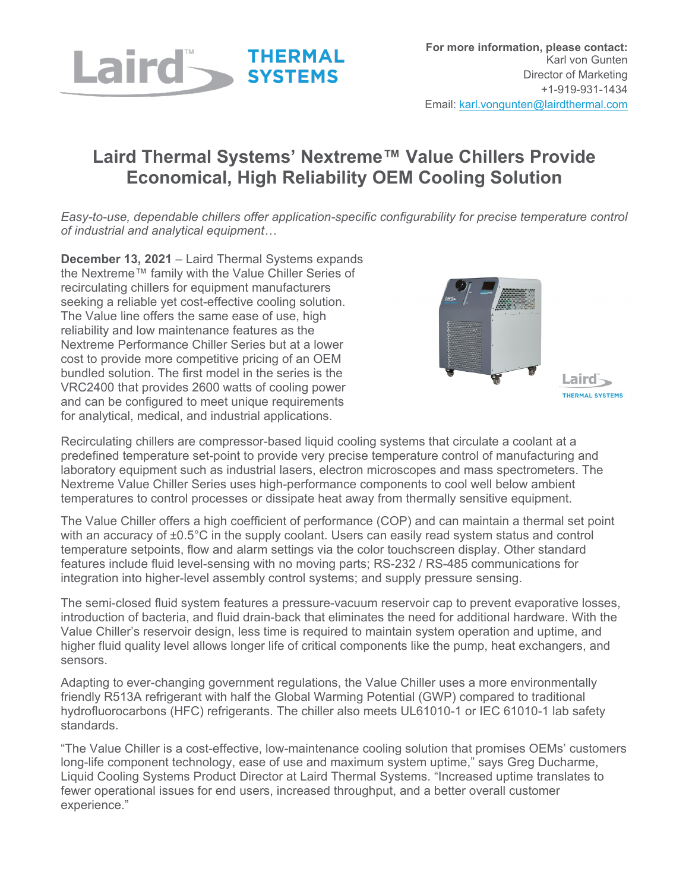

## **Laird Thermal Systems' Nextreme™ Value Chillers Provide Economical, High Reliability OEM Cooling Solution**

*Easy-to-use, dependable chillers offer application-specific configurability for precise temperature control of industrial and analytical equipment…*

**December 13, 2021** – Laird Thermal Systems expands the Nextreme™ family with the Value Chiller Series of recirculating chillers for equipment manufacturers seeking a reliable yet cost-effective cooling solution. The Value line offers the same ease of use, high reliability and low maintenance features as the Nextreme Performance Chiller Series but at a lower cost to provide more competitive pricing of an OEM bundled solution. The first model in the series is the VRC2400 that provides 2600 watts of cooling power and can be configured to meet unique requirements for analytical, medical, and industrial applications.



Laird-THERMAL SYSTEMS

Recirculating chillers are compressor-based liquid cooling systems that circulate a coolant at a predefined temperature set-point to provide very precise temperature control of manufacturing and laboratory equipment such as industrial lasers, electron microscopes and mass spectrometers. The Nextreme Value Chiller Series uses high-performance components to cool well below ambient temperatures to control processes or dissipate heat away from thermally sensitive equipment.

The Value Chiller offers a high coefficient of performance (COP) and can maintain a thermal set point with an accuracy of ±0.5°C in the supply coolant. Users can easily read system status and control temperature setpoints, flow and alarm settings via the color touchscreen display. Other standard features include fluid level-sensing with no moving parts; RS-232 / RS-485 communications for integration into higher-level assembly control systems; and supply pressure sensing.

The semi-closed fluid system features a pressure-vacuum reservoir cap to prevent evaporative losses, introduction of bacteria, and fluid drain-back that eliminates the need for additional hardware. With the Value Chiller's reservoir design, less time is required to maintain system operation and uptime, and higher fluid quality level allows longer life of critical components like the pump, heat exchangers, and sensors.

Adapting to ever-changing government regulations, the Value Chiller uses a more environmentally friendly R513A refrigerant with half the Global Warming Potential (GWP) compared to traditional hydrofluorocarbons (HFC) refrigerants. The chiller also meets UL61010-1 or IEC 61010-1 lab safety standards.

"The Value Chiller is a cost-effective, low-maintenance cooling solution that promises OEMs' customers long-life component technology, ease of use and maximum system uptime," says Greg Ducharme, Liquid Cooling Systems Product Director at Laird Thermal Systems. "Increased uptime translates to fewer operational issues for end users, increased throughput, and a better overall customer experience."